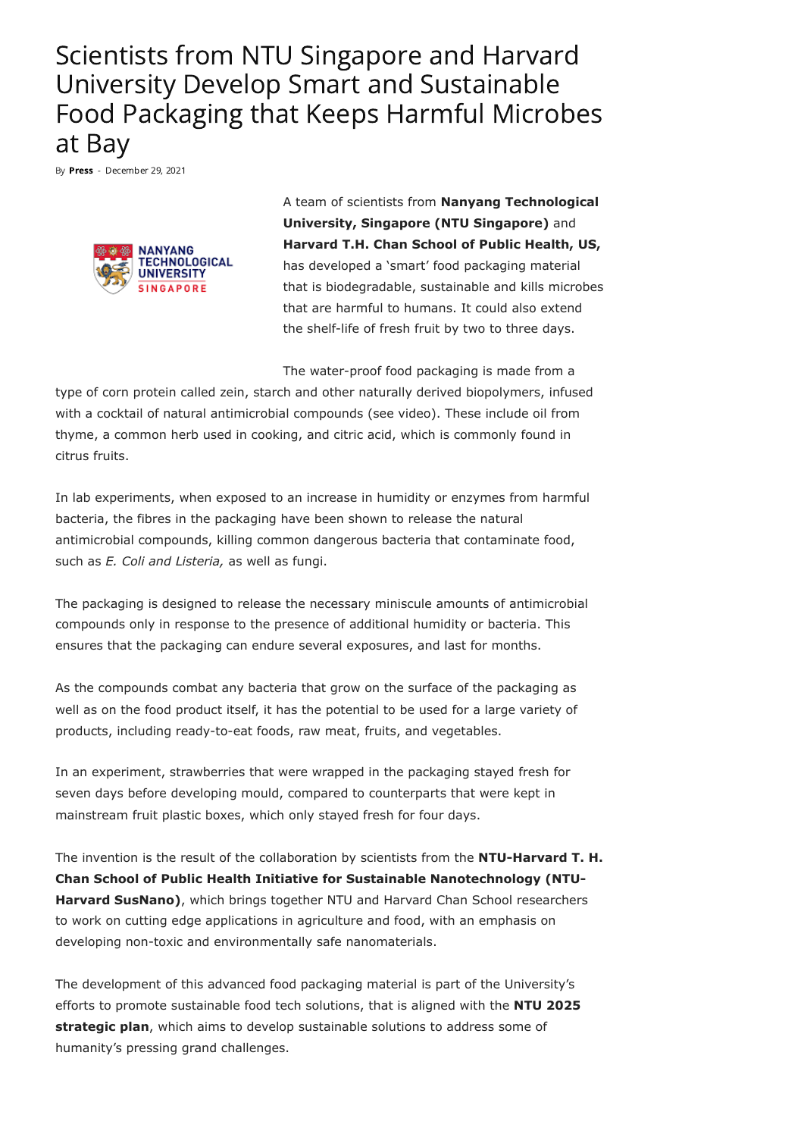## Scientists from NTU Singapore and Harvard University Develop Smart and Sustainable Food Packaging that Keeps Harmful Microbes at Bay

By [Press](https://foodindustryexecutive.com/author/press/) - December 29, 2021



A team of scientists from **Nanyang Technological University, Singapore (NTU Singapore)** and **Harvard T.H. Chan School of Public Health, US,** has developed a 'smart' food packaging material that is biodegradable, sustainable and kills microbes that are harmful to humans. It could also extend the shelf-life of fresh fruit by two to three days.

The water-proof food packaging is made from a

type of corn protein called zein, starch and other naturally derived biopolymers, infused with a cocktail of natural antimicrobial compounds (see video). These include oil from thyme, a common herb used in cooking, and citric acid, which is commonly found in citrus fruits.

In lab experiments, when exposed to an increase in humidity or enzymes from harmful bacteria, the fibres in the packaging have been shown to release the natural antimicrobial compounds, killing common dangerous bacteria that contaminate food, such as *E. Coli and Listeria,* as well as fungi.

The packaging is designed to release the necessary miniscule amounts of antimicrobial compounds only in response to the presence of additional humidity or bacteria. This ensures that the packaging can endure several exposures, and last for months.

As the compounds combat any bacteria that grow on the surface of the packaging as well as on the food product itself, it has the potential to be used for a large variety of products, including ready-to-eat foods, raw meat, fruits, and vegetables.

In an experiment, strawberries that were wrapped in the packaging stayed fresh for seven days before developing mould, compared to counterparts that were kept in mainstream fruit plastic boxes, which only stayed fresh for four days.

The invention is the result of the collaboration by scientists from the **NTU-Harvard T. H. Chan School of Public Health Initiative for Sustainable Nanotechnology (NTU-Harvard SusNano)**, which brings together NTU and Harvard Chan School researchers to work on cutting edge applications in agriculture and food, with an emphasis on developing non-toxic and environmentally safe nanomaterials.

The development of this advanced food packaging material is part of the University's efforts to promote sustainable food tech solutions, that is aligned with the **NTU 2025 strategic plan**, which aims to develop sustainable solutions to address some of humanity's pressing grand challenges.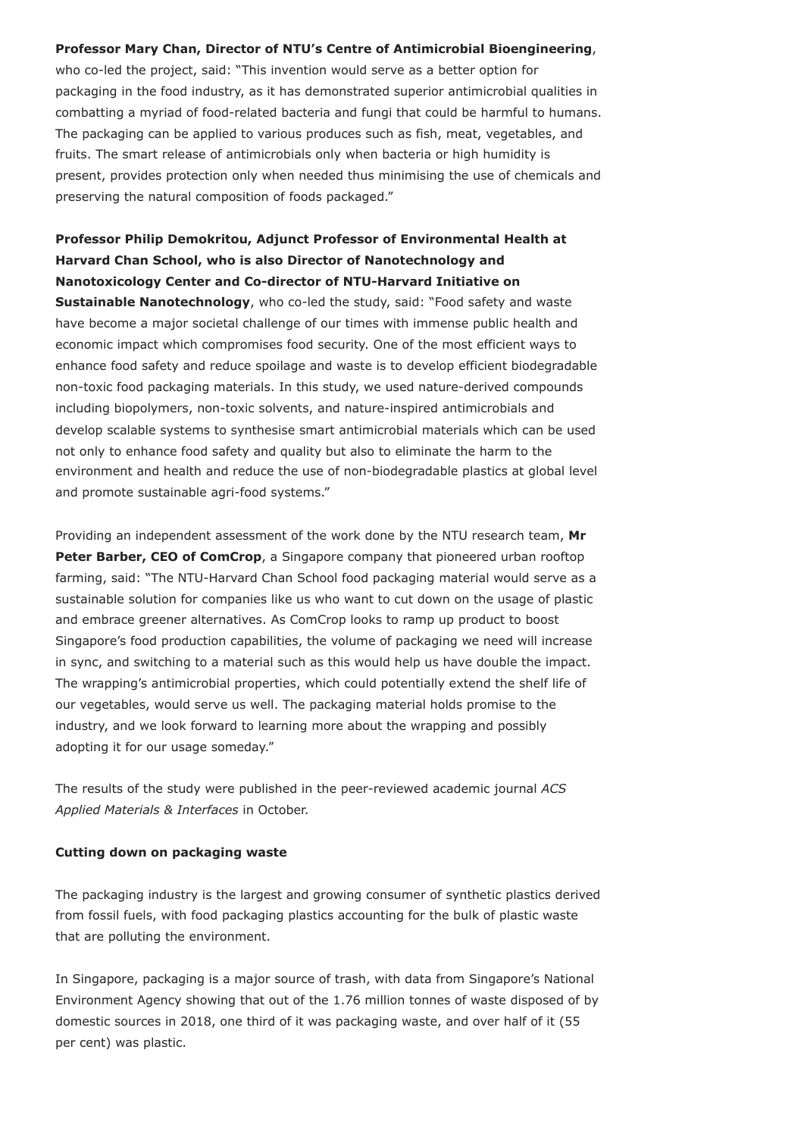## **Professor Mary Chan, Director of NTU's Centre of Antimicrobial Bioengineering**,

who co-led the project, said: "This invention would serve as a better option for packaging in the food industry, as it has demonstrated superior antimicrobial qualities in combatting a myriad of food-related bacteria and fungi that could be harmful to humans. The packaging can be applied to various produces such as fish, meat, vegetables, and fruits. The smart release of antimicrobials only when bacteria or high humidity is present, provides protection only when needed thus minimising the use of chemicals and preserving the natural composition of foods packaged."

**Professor Philip Demokritou, Adjunct Professor of Environmental Health at Harvard Chan School, who is also Director of Nanotechnology and Nanotoxicology Center and Co-director of NTU-Harvard Initiative on Sustainable Nanotechnology**, who co-led the study, said: "Food safety and waste have become a major societal challenge of our times with immense public health and economic impact which compromises food security. One of the most efficient ways to enhance food safety and reduce spoilage and waste is to develop efficient biodegradable non-toxic food packaging materials. In this study, we used nature-derived compounds including biopolymers, non-toxic solvents, and nature-inspired antimicrobials and develop scalable systems to synthesise smart antimicrobial materials which can be used not only to enhance food safety and quality but also to eliminate the harm to the environment and health and reduce the use of non-biodegradable plastics at global level and promote sustainable agri-food systems."

Providing an independent assessment of the work done by the NTU research team, **Mr Peter Barber, CEO of ComCrop**, a Singapore company that pioneered urban rooftop farming, said: "The NTU-Harvard Chan School food packaging material would serve as a sustainable solution for companies like us who want to cut down on the usage of plastic and embrace greener alternatives. As ComCrop looks to ramp up product to boost Singapore's food production capabilities, the volume of packaging we need will increase in sync, and switching to a material such as this would help us have double the impact. The wrapping's antimicrobial properties, which could potentially extend the shelf life of our vegetables, would serve us well. The packaging material holds promise to the industry, and we look forward to learning more about the wrapping and possibly adopting it for our usage someday."

The results of the study were published in the peer-reviewed academic journal *ACS Applied Materials & Interfaces* in October.

## **Cutting down on packaging waste**

The packaging industry is the largest and growing consumer of synthetic plastics derived from fossil fuels, with food packaging plastics accounting for the bulk of plastic waste that are polluting the environment.

In Singapore, packaging is a major source of trash, with data from Singapore's National Environment Agency showing that out of the 1.76 million tonnes of waste disposed of by domestic sources in 2018, one third of it was packaging waste, and over half of it (55 per cent) was plastic.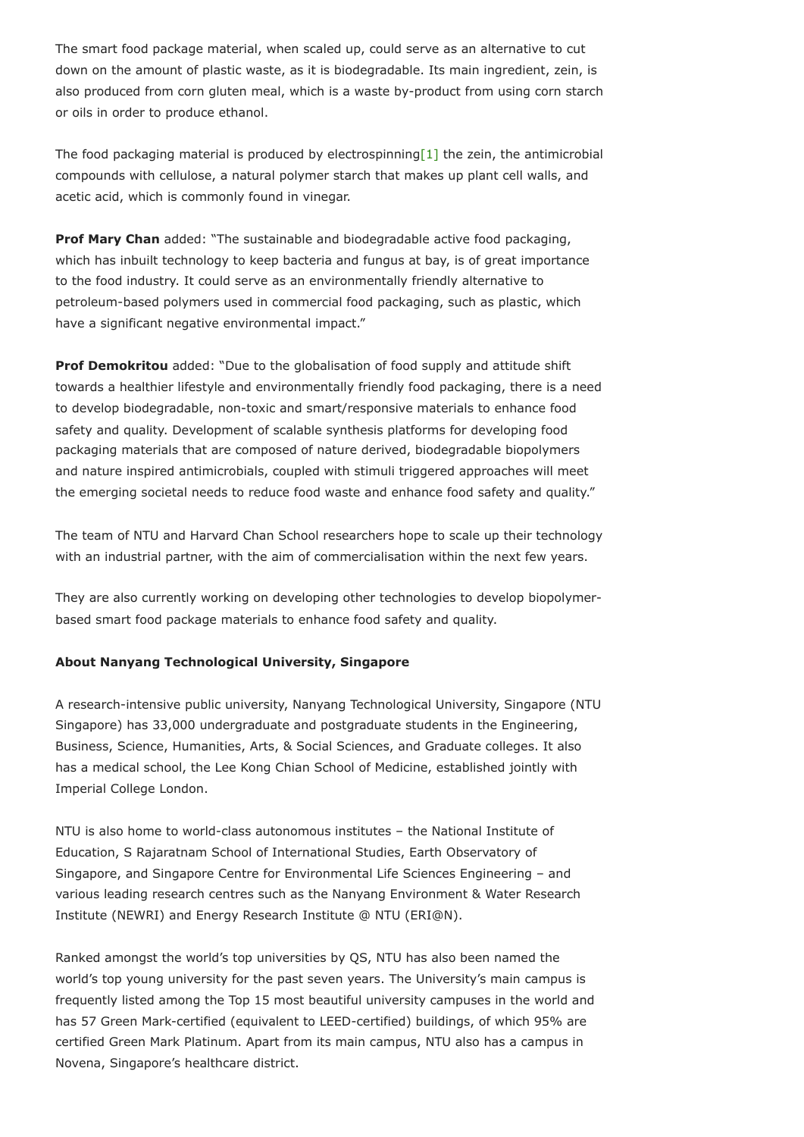The smart food package material, when scaled up, could serve as an alternative to cut down on the amount of plastic waste, as it is biodegradable. Its main ingredient, zein, is also produced from corn gluten meal, which is a waste by-product from using corn starch or oils in order to produce ethanol.

<span id="page-2-0"></span>The food packaging material is produced by electrospinnin[g\[1\]](#page-3-0) the zein, the antimicrobial compounds with cellulose, a natural polymer starch that makes up plant cell walls, and acetic acid, which is commonly found in vinegar.

**Prof Mary Chan** added: "The sustainable and biodegradable active food packaging, which has inbuilt technology to keep bacteria and fungus at bay, is of great importance to the food industry. It could serve as an environmentally friendly alternative to petroleum-based polymers used in commercial food packaging, such as plastic, which have a significant negative environmental impact."

**Prof Demokritou** added: "Due to the globalisation of food supply and attitude shift towards a healthier lifestyle and environmentally friendly food packaging, there is a need to develop biodegradable, non-toxic and smart/responsive materials to enhance food safety and quality. Development of scalable synthesis platforms for developing food packaging materials that are composed of nature derived, biodegradable biopolymers and nature inspired antimicrobials, coupled with stimuli triggered approaches will meet the emerging societal needs to reduce food waste and enhance food safety and quality."

The team of NTU and Harvard Chan School researchers hope to scale up their technology with an industrial partner, with the aim of commercialisation within the next few years.

They are also currently working on developing other technologies to develop biopolymerbased smart food package materials to enhance food safety and quality.

## **About Nanyang Technological University, Singapore**

A research-intensive public university, Nanyang Technological University, Singapore (NTU Singapore) has 33,000 undergraduate and postgraduate students in the Engineering, Business, Science, Humanities, Arts, & Social Sciences, and Graduate colleges. It also has a medical school, the Lee Kong Chian School of Medicine, established jointly with Imperial College London.

NTU is also home to world-class autonomous institutes – the National Institute of Education, S Rajaratnam School of International Studies, Earth Observatory of Singapore, and Singapore Centre for Environmental Life Sciences Engineering – and various leading research centres such as the Nanyang Environment & Water Research Institute (NEWRI) and Energy Research Institute @ NTU (ERI@N).

Ranked amongst the world's top universities by QS, NTU has also been named the world's top young university for the past seven years. The University's main campus is frequently listed among the Top 15 most beautiful university campuses in the world and has 57 Green Mark-certified (equivalent to LEED-certified) buildings, of which 95% are certified Green Mark Platinum. Apart from its main campus, NTU also has a campus in Novena, Singapore's healthcare district.